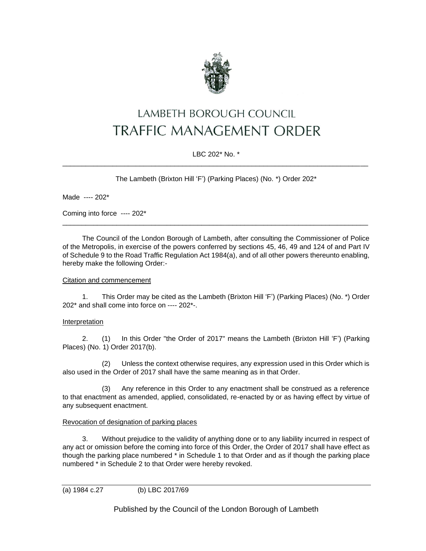

# LAMBETH BOROUGH COUNCIL **TRAFFIC MANAGEMENT ORDER**

# LBC 202\* No. \* \_\_\_\_\_\_\_\_\_\_\_\_\_\_\_\_\_\_\_\_\_\_\_\_\_\_\_\_\_\_\_\_\_\_\_\_\_\_\_\_\_\_\_\_\_\_\_\_\_\_\_\_\_\_\_\_\_\_\_\_\_\_\_\_\_\_\_\_\_\_\_\_\_\_\_\_\_\_\_

The Lambeth (Brixton Hill 'F') (Parking Places) (No. \*) Order 202\*

Made ---- 202\*

Coming into force ---- 202\*

The Council of the London Borough of Lambeth, after consulting the Commissioner of Police of the Metropolis, in exercise of the powers conferred by sections 45, 46, 49 and 124 of and Part IV of Schedule 9 to the Road Traffic Regulation Act 1984(a), and of all other powers thereunto enabling, hereby make the following Order:-

\_\_\_\_\_\_\_\_\_\_\_\_\_\_\_\_\_\_\_\_\_\_\_\_\_\_\_\_\_\_\_\_\_\_\_\_\_\_\_\_\_\_\_\_\_\_\_\_\_\_\_\_\_\_\_\_\_\_\_\_\_\_\_\_\_\_\_\_\_\_\_\_\_\_\_\_\_\_\_

# Citation and commencement

1. This Order may be cited as the Lambeth (Brixton Hill 'F') (Parking Places) (No. \*) Order 202\* and shall come into force on ---- 202\*-.

## Interpretation

2. (1) In this Order "the Order of 2017" means the Lambeth (Brixton Hill 'F') (Parking Places) (No. 1) Order 2017(b).

(2) Unless the context otherwise requires, any expression used in this Order which is also used in the Order of 2017 shall have the same meaning as in that Order.

(3) Any reference in this Order to any enactment shall be construed as a reference to that enactment as amended, applied, consolidated, re-enacted by or as having effect by virtue of any subsequent enactment.

# Revocation of designation of parking places

3. Without prejudice to the validity of anything done or to any liability incurred in respect of any act or omission before the coming into force of this Order, the Order of 2017 shall have effect as though the parking place numbered \* in Schedule 1 to that Order and as if though the parking place numbered \* in Schedule 2 to that Order were hereby revoked.

```
(a) 1984 c.27 (b) LBC 2017/69
```
Published by the Council of the London Borough of Lambeth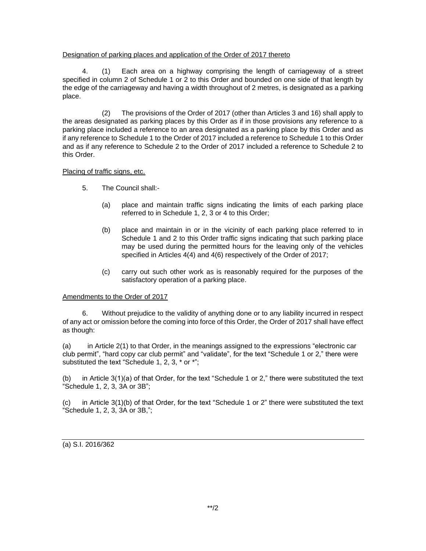## Designation of parking places and application of the Order of 2017 thereto

4. (1) Each area on a highway comprising the length of carriageway of a street specified in column 2 of Schedule 1 or 2 to this Order and bounded on one side of that length by the edge of the carriageway and having a width throughout of 2 metres, is designated as a parking place.

(2) The provisions of the Order of 2017 (other than Articles 3 and 16) shall apply to the areas designated as parking places by this Order as if in those provisions any reference to a parking place included a reference to an area designated as a parking place by this Order and as if any reference to Schedule 1 to the Order of 2017 included a reference to Schedule 1 to this Order and as if any reference to Schedule 2 to the Order of 2017 included a reference to Schedule 2 to this Order.

## Placing of traffic signs, etc.

- 5. The Council shall:-
	- (a) place and maintain traffic signs indicating the limits of each parking place referred to in Schedule 1, 2, 3 or 4 to this Order;
	- (b) place and maintain in or in the vicinity of each parking place referred to in Schedule 1 and 2 to this Order traffic signs indicating that such parking place may be used during the permitted hours for the leaving only of the vehicles specified in Articles 4(4) and 4(6) respectively of the Order of 2017;
	- (c) carry out such other work as is reasonably required for the purposes of the satisfactory operation of a parking place.

# Amendments to the Order of 2017

6. Without prejudice to the validity of anything done or to any liability incurred in respect of any act or omission before the coming into force of this Order, the Order of 2017 shall have effect as though:

(a) in Article 2(1) to that Order, in the meanings assigned to the expressions "electronic car club permit", "hard copy car club permit" and "validate", for the text "Schedule 1 or 2," there were substituted the text "Schedule 1, 2, 3, \* or \*";

(b) in Article 3(1)(a) of that Order, for the text "Schedule 1 or 2," there were substituted the text "Schedule 1, 2, 3, 3A or 3B";

(c) in Article 3(1)(b) of that Order, for the text "Schedule 1 or 2" there were substituted the text "Schedule 1, 2, 3, 3A or 3B,";

(a) S.I. 2016/362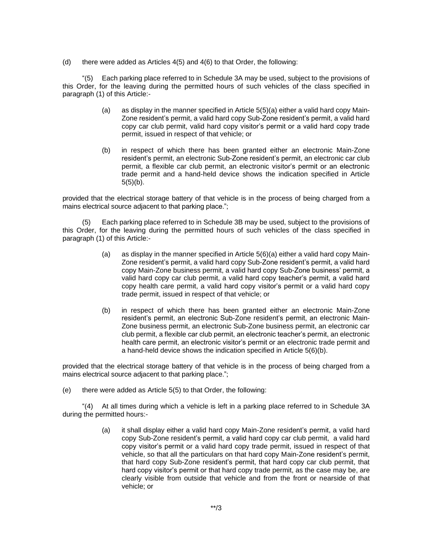(d) there were added as Articles  $4(5)$  and  $4(6)$  to that Order, the following:

"(5) Each parking place referred to in Schedule 3A may be used, subject to the provisions of this Order, for the leaving during the permitted hours of such vehicles of the class specified in paragraph (1) of this Article:-

- (a) as display in the manner specified in Article  $5(5)(a)$  either a valid hard copy Main-Zone resident's permit, a valid hard copy Sub-Zone resident's permit, a valid hard copy car club permit, valid hard copy visitor's permit or a valid hard copy trade permit, issued in respect of that vehicle; or
- (b) in respect of which there has been granted either an electronic Main-Zone resident's permit, an electronic Sub-Zone resident's permit, an electronic car club permit, a flexible car club permit, an electronic visitor's permit or an electronic trade permit and a hand-held device shows the indication specified in Article  $5(5)(b)$ .

provided that the electrical storage battery of that vehicle is in the process of being charged from a mains electrical source adjacent to that parking place.";

(5) Each parking place referred to in Schedule 3B may be used, subject to the provisions of this Order, for the leaving during the permitted hours of such vehicles of the class specified in paragraph (1) of this Article:-

- (a) as display in the manner specified in Article  $5(6)(a)$  either a valid hard copy Main-Zone resident's permit, a valid hard copy Sub-Zone resident's permit, a valid hard copy Main-Zone business permit, a valid hard copy Sub-Zone business' permit, a valid hard copy car club permit, a valid hard copy teacher's permit, a valid hard copy health care permit, a valid hard copy visitor's permit or a valid hard copy trade permit, issued in respect of that vehicle; or
- (b) in respect of which there has been granted either an electronic Main-Zone resident's permit, an electronic Sub-Zone resident's permit, an electronic Main-Zone business permit, an electronic Sub-Zone business permit, an electronic car club permit, a flexible car club permit, an electronic teacher's permit, an electronic health care permit, an electronic visitor's permit or an electronic trade permit and a hand-held device shows the indication specified in Article 5(6)(b).

provided that the electrical storage battery of that vehicle is in the process of being charged from a mains electrical source adjacent to that parking place.";

(e) there were added as Article 5(5) to that Order, the following:

"(4) At all times during which a vehicle is left in a parking place referred to in Schedule 3A during the permitted hours:-

> (a) it shall display either a valid hard copy Main-Zone resident's permit, a valid hard copy Sub-Zone resident's permit, a valid hard copy car club permit, a valid hard copy visitor's permit or a valid hard copy trade permit, issued in respect of that vehicle, so that all the particulars on that hard copy Main-Zone resident's permit, that hard copy Sub-Zone resident's permit, that hard copy car club permit, that hard copy visitor's permit or that hard copy trade permit, as the case may be, are clearly visible from outside that vehicle and from the front or nearside of that vehicle; or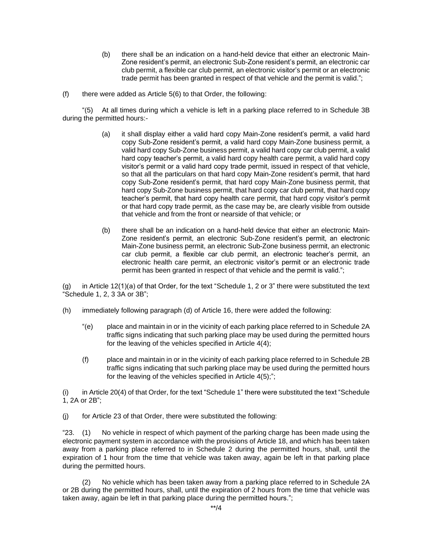- (b) there shall be an indication on a hand-held device that either an electronic Main-Zone resident's permit, an electronic Sub-Zone resident's permit, an electronic car club permit, a flexible car club permit, an electronic visitor's permit or an electronic trade permit has been granted in respect of that vehicle and the permit is valid.";
- $(f)$  there were added as Article 5(6) to that Order, the following:

"(5) At all times during which a vehicle is left in a parking place referred to in Schedule 3B during the permitted hours:-

- (a) it shall display either a valid hard copy Main-Zone resident's permit, a valid hard copy Sub-Zone resident's permit, a valid hard copy Main-Zone business permit, a valid hard copy Sub-Zone business permit, a valid hard copy car club permit, a valid hard copy teacher's permit, a valid hard copy health care permit, a valid hard copy visitor's permit or a valid hard copy trade permit, issued in respect of that vehicle, so that all the particulars on that hard copy Main-Zone resident's permit, that hard copy Sub-Zone resident's permit, that hard copy Main-Zone business permit, that hard copy Sub-Zone business permit, that hard copy car club permit, that hard copy teacher's permit, that hard copy health care permit, that hard copy visitor's permit or that hard copy trade permit, as the case may be, are clearly visible from outside that vehicle and from the front or nearside of that vehicle; or
- (b) there shall be an indication on a hand-held device that either an electronic Main-Zone resident's permit, an electronic Sub-Zone resident's permit, an electronic Main-Zone business permit, an electronic Sub-Zone business permit, an electronic car club permit, a flexible car club permit, an electronic teacher's permit, an electronic health care permit, an electronic visitor's permit or an electronic trade permit has been granted in respect of that vehicle and the permit is valid.";

(g) in Article 12(1)(a) of that Order, for the text "Schedule 1, 2 or 3" there were substituted the text "Schedule 1, 2, 3 3A or 3B";

- (h) immediately following paragraph (d) of Article 16, there were added the following:
	- "(e) place and maintain in or in the vicinity of each parking place referred to in Schedule 2A traffic signs indicating that such parking place may be used during the permitted hours for the leaving of the vehicles specified in Article 4(4);
	- (f) place and maintain in or in the vicinity of each parking place referred to in Schedule 2B traffic signs indicating that such parking place may be used during the permitted hours for the leaving of the vehicles specified in Article 4(5);";

(i) in Article 20(4) of that Order, for the text "Schedule 1" there were substituted the text "Schedule 1, 2A or 2B";

(j) for Article 23 of that Order, there were substituted the following:

"23. (1) No vehicle in respect of which payment of the parking charge has been made using the electronic payment system in accordance with the provisions of Article 18, and which has been taken away from a parking place referred to in Schedule 2 during the permitted hours, shall, until the expiration of 1 hour from the time that vehicle was taken away, again be left in that parking place during the permitted hours.

(2) No vehicle which has been taken away from a parking place referred to in Schedule 2A or 2B during the permitted hours, shall, until the expiration of 2 hours from the time that vehicle was taken away, again be left in that parking place during the permitted hours.";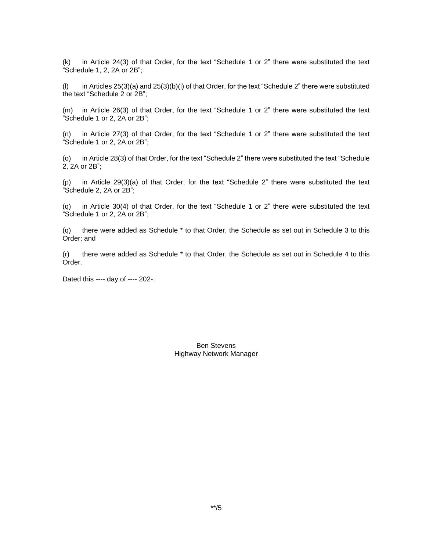(k) in Article 24(3) of that Order, for the text "Schedule 1 or 2" there were substituted the text "Schedule 1, 2, 2A or 2B";

(I) in Articles  $25(3)(a)$  and  $25(3)(b)(i)$  of that Order, for the text "Schedule 2" there were substituted the text "Schedule 2 or 2B";

(m) in Article 26(3) of that Order, for the text "Schedule 1 or 2" there were substituted the text "Schedule 1 or 2, 2A or 2B";

(n) in Article 27(3) of that Order, for the text "Schedule 1 or 2" there were substituted the text "Schedule 1 or 2, 2A or 2B";

(o) in Article 28(3) of that Order, for the text "Schedule 2" there were substituted the text "Schedule 2, 2A or 2B";

(p) in Article 29(3)(a) of that Order, for the text "Schedule 2" there were substituted the text "Schedule 2, 2A or 2B";

(q) in Article 30(4) of that Order, for the text "Schedule 1 or 2" there were substituted the text "Schedule 1 or 2, 2A or 2B";

(q) there were added as Schedule \* to that Order, the Schedule as set out in Schedule 3 to this Order; and

(r) there were added as Schedule \* to that Order, the Schedule as set out in Schedule 4 to this Order.

Dated this ---- day of ---- 202-.

Ben Stevens Highway Network Manager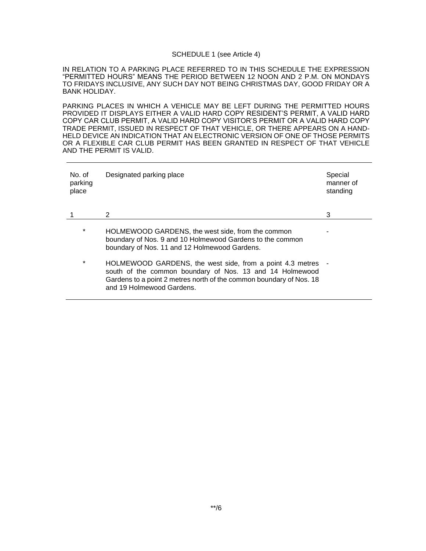### SCHEDULE 1 (see Article 4)

IN RELATION TO A PARKING PLACE REFERRED TO IN THIS SCHEDULE THE EXPRESSION "PERMITTED HOURS" MEANS THE PERIOD BETWEEN 12 NOON AND 2 P.M. ON MONDAYS TO FRIDAYS INCLUSIVE, ANY SUCH DAY NOT BEING CHRISTMAS DAY, GOOD FRIDAY OR A BANK HOLIDAY.

PARKING PLACES IN WHICH A VEHICLE MAY BE LEFT DURING THE PERMITTED HOURS PROVIDED IT DISPLAYS EITHER A VALID HARD COPY RESIDENT'S PERMIT, A VALID HARD COPY CAR CLUB PERMIT, A VALID HARD COPY VISITOR'S PERMIT OR A VALID HARD COPY TRADE PERMIT, ISSUED IN RESPECT OF THAT VEHICLE, OR THERE APPEARS ON A HAND-HELD DEVICE AN INDICATION THAT AN ELECTRONIC VERSION OF ONE OF THOSE PERMITS OR A FLEXIBLE CAR CLUB PERMIT HAS BEEN GRANTED IN RESPECT OF THAT VEHICLE AND THE PERMIT IS VALID.

| No. of<br>parking<br>place | Designated parking place                                                                                                                                                                                                  | Special<br>manner of<br>standing |
|----------------------------|---------------------------------------------------------------------------------------------------------------------------------------------------------------------------------------------------------------------------|----------------------------------|
|                            | 2                                                                                                                                                                                                                         | 3                                |
| $\ast$                     | HOLMEWOOD GARDENS, the west side, from the common<br>boundary of Nos. 9 and 10 Holmewood Gardens to the common<br>boundary of Nos. 11 and 12 Holmewood Gardens.                                                           |                                  |
| $\ast$                     | HOLMEWOOD GARDENS, the west side, from a point 4.3 metres<br>south of the common boundary of Nos. 13 and 14 Holmewood<br>Gardens to a point 2 metres north of the common boundary of Nos. 18<br>and 19 Holmewood Gardens. |                                  |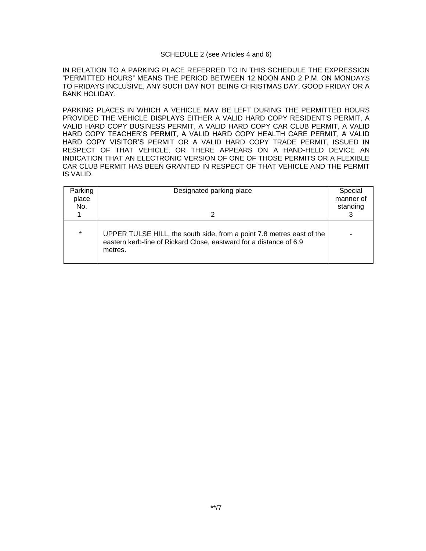### SCHEDULE 2 (see Articles 4 and 6)

IN RELATION TO A PARKING PLACE REFERRED TO IN THIS SCHEDULE THE EXPRESSION "PERMITTED HOURS" MEANS THE PERIOD BETWEEN 12 NOON AND 2 P.M. ON MONDAYS TO FRIDAYS INCLUSIVE, ANY SUCH DAY NOT BEING CHRISTMAS DAY, GOOD FRIDAY OR A BANK HOLIDAY.

PARKING PLACES IN WHICH A VEHICLE MAY BE LEFT DURING THE PERMITTED HOURS PROVIDED THE VEHICLE DISPLAYS EITHER A VALID HARD COPY RESIDENT'S PERMIT, A VALID HARD COPY BUSINESS PERMIT, A VALID HARD COPY CAR CLUB PERMIT, A VALID HARD COPY TEACHER'S PERMIT, A VALID HARD COPY HEALTH CARE PERMIT, A VALID HARD COPY VISITOR'S PERMIT OR A VALID HARD COPY TRADE PERMIT, ISSUED IN RESPECT OF THAT VEHICLE, OR THERE APPEARS ON A HAND-HELD DEVICE AN INDICATION THAT AN ELECTRONIC VERSION OF ONE OF THOSE PERMITS OR A FLEXIBLE CAR CLUB PERMIT HAS BEEN GRANTED IN RESPECT OF THAT VEHICLE AND THE PERMIT IS VALID.

| Parking<br>place<br>No. | Designated parking place                                                                                                                               | Special<br>manner of<br>standing |
|-------------------------|--------------------------------------------------------------------------------------------------------------------------------------------------------|----------------------------------|
| $\star$                 | UPPER TULSE HILL, the south side, from a point 7.8 metres east of the<br>eastern kerb-line of Rickard Close, eastward for a distance of 6.9<br>metres. | -                                |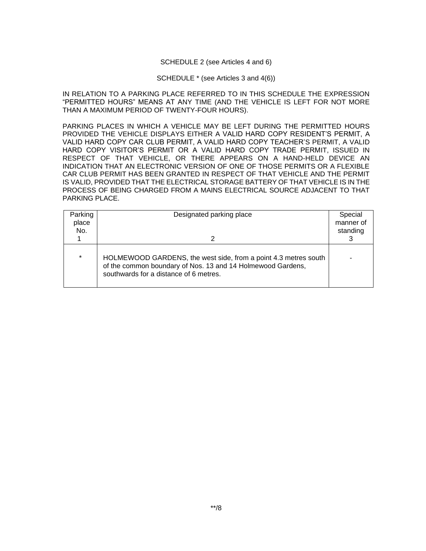#### SCHEDULE 2 (see Articles 4 and 6)

#### SCHEDULE \* (see Articles 3 and 4(6))

IN RELATION TO A PARKING PLACE REFERRED TO IN THIS SCHEDULE THE EXPRESSION "PERMITTED HOURS" MEANS AT ANY TIME (AND THE VEHICLE IS LEFT FOR NOT MORE THAN A MAXIMUM PERIOD OF TWENTY-FOUR HOURS).

PARKING PLACES IN WHICH A VEHICLE MAY BE LEFT DURING THE PERMITTED HOURS PROVIDED THE VEHICLE DISPLAYS EITHER A VALID HARD COPY RESIDENT'S PERMIT, A VALID HARD COPY CAR CLUB PERMIT, A VALID HARD COPY TEACHER'S PERMIT, A VALID HARD COPY VISITOR'S PERMIT OR A VALID HARD COPY TRADE PERMIT, ISSUED IN RESPECT OF THAT VEHICLE, OR THERE APPEARS ON A HAND-HELD DEVICE AN INDICATION THAT AN ELECTRONIC VERSION OF ONE OF THOSE PERMITS OR A FLEXIBLE CAR CLUB PERMIT HAS BEEN GRANTED IN RESPECT OF THAT VEHICLE AND THE PERMIT IS VALID, PROVIDED THAT THE ELECTRICAL STORAGE BATTERY OF THAT VEHICLE IS IN THE PROCESS OF BEING CHARGED FROM A MAINS ELECTRICAL SOURCE ADJACENT TO THAT PARKING PLACE.

| Parking | Designated parking place                                                                                                                                                 | Special   |
|---------|--------------------------------------------------------------------------------------------------------------------------------------------------------------------------|-----------|
| place   |                                                                                                                                                                          | manner of |
| No.     |                                                                                                                                                                          | standing  |
|         |                                                                                                                                                                          |           |
|         |                                                                                                                                                                          |           |
| $\star$ | HOLMEWOOD GARDENS, the west side, from a point 4.3 metres south<br>of the common boundary of Nos. 13 and 14 Holmewood Gardens,<br>southwards for a distance of 6 metres. |           |